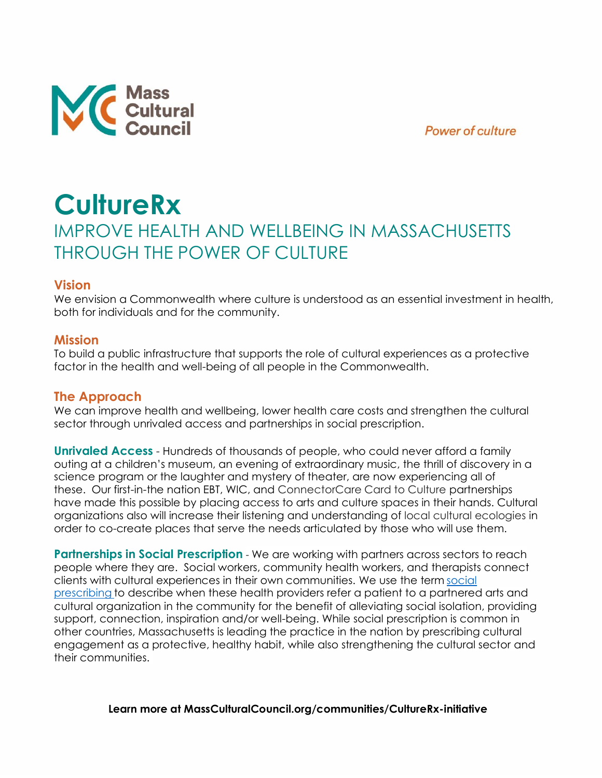



# **CultureRx** IMPROVE HEALTH AND WELLBEING IN MASSACHUSETTS THROUGH THE POWER OF CULTURE

#### **Vision**

We envision a Commonwealth where culture is understood as an essential investment in health, both for individuals and for the community.

#### **Mission**

To build a public infrastructure that supports the role of cultural experiences as a protective factor in the health and well-being of all people in the Commonwealth.

### **The Approach**

We can improve health and wellbeing, lower health care costs and strengthen the cultural sector through unrivaled access and partnerships in social prescription.

**Unrivaled Access** - Hundreds of thousands of people, who could never afford a family outing at a children's museum, an evening of extraordinary music, the thrill of discovery in a science program or the laughter and mystery of theater, are now experiencing all of these. Our first-in-the nation EBT, WIC, and ConnectorCare Card to Culture partnerships have made this possible by placing access to arts and culture spaces in their hands. Cultural organizations also will increase their listening and understanding of local cultural ecologies in order to co-create places that serve the needs articulated by those who will use them.

**Partnerships in Social Prescription** - We are working with partners across sectors to reach people where they are. Social workers, community health workers, and therapists connect clients with cultural experiences in their own communities. We use the term [social](https://massculturalcouncil.org/blog/social-prescription-pilot-explores-positive-health-impacts-of-cultural-experiences-for-people-communities/)  [prescribing](https://massculturalcouncil.org/blog/social-prescription-pilot-explores-positive-health-impacts-of-cultural-experiences-for-people-communities/) to describe when these health providers refer a patient to a partnered arts and cultural organization in the community for the benefit of alleviating social isolation, providing support, connection, inspiration and/or well-being. While social prescription is common in other countries, Massachusetts is leading the practice in the nation by prescribing cultural engagement as a protective, healthy habit, while also strengthening the cultural sector and their communities.

**Learn more at MassCulturalCouncil.org/communities/CultureRx-initiative**